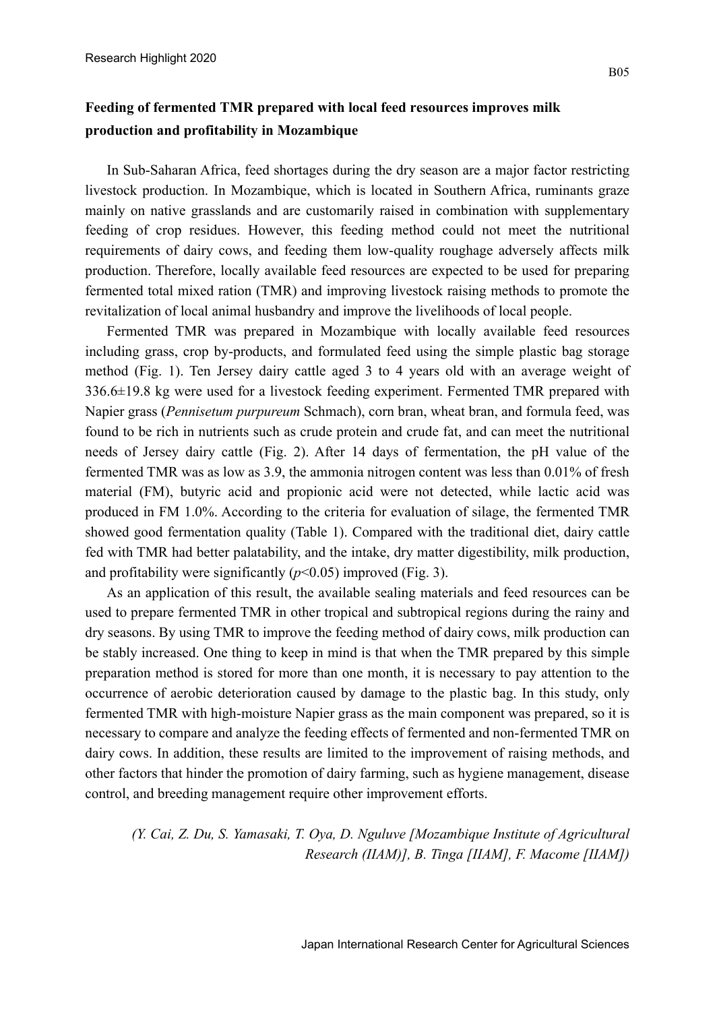## **Feeding of fermented TMR prepared with local feed resources improves milk production and profitability in Mozambique**

In Sub-Saharan Africa, feed shortages during the dry season are a major factor restricting livestock production. In Mozambique, which is located in Southern Africa, ruminants graze mainly on native grasslands and are customarily raised in combination with supplementary feeding of crop residues. However, this feeding method could not meet the nutritional requirements of dairy cows, and feeding them low-quality roughage adversely affects milk production. Therefore, locally available feed resources are expected to be used for preparing fermented total mixed ration (TMR) and improving livestock raising methods to promote the revitalization of local animal husbandry and improve the livelihoods of local people.

Fermented TMR was prepared in Mozambique with locally available feed resources including grass, crop by-products, and formulated feed using the simple plastic bag storage method (Fig. 1). Ten Jersey dairy cattle aged 3 to 4 years old with an average weight of 336.6±19.8 kg were used for a livestock feeding experiment. Fermented TMR prepared with Napier grass (*Pennisetum purpureum* Schmach), corn bran, wheat bran, and formula feed, was found to be rich in nutrients such as crude protein and crude fat, and can meet the nutritional needs of Jersey dairy cattle (Fig. 2). After 14 days of fermentation, the pH value of the fermented TMR was as low as 3.9, the ammonia nitrogen content was less than 0.01% of fresh material (FM), butyric acid and propionic acid were not detected, while lactic acid was produced in FM 1.0%. According to the criteria for evaluation of silage, the fermented TMR showed good fermentation quality (Table 1). Compared with the traditional diet, dairy cattle fed with TMR had better palatability, and the intake, dry matter digestibility, milk production, and profitability were significantly  $(p<0.05)$  improved (Fig. 3).

As an application of this result, the available sealing materials and feed resources can be used to prepare fermented TMR in other tropical and subtropical regions during the rainy and dry seasons. By using TMR to improve the feeding method of dairy cows, milk production can be stably increased. One thing to keep in mind is that when the TMR prepared by this simple preparation method is stored for more than one month, it is necessary to pay attention to the occurrence of aerobic deterioration caused by damage to the plastic bag. In this study, only fermented TMR with high-moisture Napier grass as the main component was prepared, so it is necessary to compare and analyze the feeding effects of fermented and non-fermented TMR on dairy cows. In addition, these results are limited to the improvement of raising methods, and other factors that hinder the promotion of dairy farming, such as hygiene management, disease control, and breeding management require other improvement efforts.

*(Y. Cai, Z. Du, S. Yamasaki, T. Oya, D. Nguluve [Mozambique Institute of Agricultural Research (IIAM)], B. Tinga [IIAM], F. Macome [IIAM])*